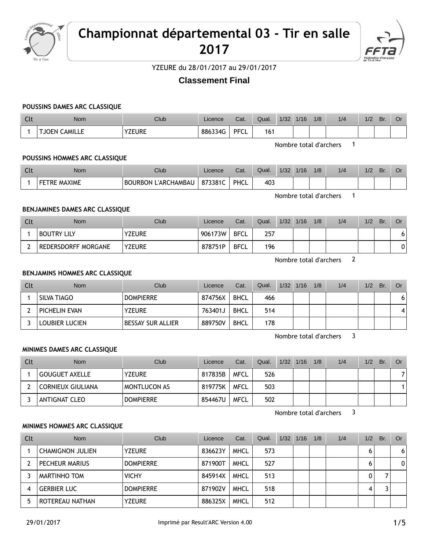

# **Championnat départemental 03 - Tir en salle 2017**



YZEURE du 28/01/2017 au 29/01/2017

## **Classement Final**

#### **POUSSINS DAMES ARC CLASSIQUE**

| $\sim$<br>่งเเ | Nom                      | Club          | Licence | Cat.        | Qual. | 1/32 | 1/16 | 1/8 | 1/4 | 1/2 | Br. | Or |
|----------------|--------------------------|---------------|---------|-------------|-------|------|------|-----|-----|-----|-----|----|
|                | <b>CAMILLE</b><br>. JOEN | <b>YZEURE</b> | 886334G | <b>PFCL</b> | 161   |      |      |     |     |     |     |    |

Nombre total d'archers 1

#### **POUSSINS HOMMES ARC CLASSIQUE**

| Clt | Nom          | Club                            | Licence | Cat. | Qual. | 1/32 | 1/16 | 1/8 | 1/4 | $\sqrt{2}$<br>72 | Br. | Or |
|-----|--------------|---------------------------------|---------|------|-------|------|------|-----|-----|------------------|-----|----|
|     | FETRE MAXIME | L'ARCHAMBAU<br><b>BOURBON L</b> | 873381C | PHCL | 403   |      |      |     |     |                  |     |    |

Nombre total d'archers 1

## **BENJAMINES DAMES ARC CLASSIQUE**

| Clt | <b>Nom</b>          | <b>Club</b>   | Licence | Cat.        | Qual. | 1/32 | 1/16 | 1/8 | 1/4 | 1/2 | Br. | Or |
|-----|---------------------|---------------|---------|-------------|-------|------|------|-----|-----|-----|-----|----|
|     | <b>BOUTRY LILY</b>  | <b>YZEURE</b> | 906173W | <b>BFCL</b> | 257   |      |      |     |     |     |     | 6  |
|     | REDERSDORFF MORGANE | <b>YZEURE</b> | 878751P | <b>BFCL</b> | 196   |      |      |     |     |     |     | 0  |

Nombre total d'archers 2

#### **BENJAMINS HOMMES ARC CLASSIQUE**

| Clt | <b>Nom</b>            | <b>Club</b>              | Licence | Cat.        | Qual. | $1/32$ $1/16$ | 1/8 | 1/4 | 1/2 | Br. | Or |
|-----|-----------------------|--------------------------|---------|-------------|-------|---------------|-----|-----|-----|-----|----|
|     | SILVA TIAGO           | <b>DOMPIERRE</b>         | 874756X | <b>BHCL</b> | 466   |               |     |     |     |     |    |
|     | PICHELIN EVAN         | <b>YZEURE</b>            | 763401J | <b>BHCL</b> | 514   |               |     |     |     |     | 4' |
|     | <b>LOUBIER LUCIEN</b> | <b>BESSAY SUR ALLIER</b> | 889750V | <b>BHCL</b> | 178   |               |     |     |     |     |    |

Nombre total d'archers 3

#### **MINIMES DAMES ARC CLASSIQUE**

| Clt | <b>Nom</b>               | Club             | Licence | Cat.        | Qual. | 1/32 | 1/16 | 1/8 | 1/4 | 1/2 | Br. | Or |
|-----|--------------------------|------------------|---------|-------------|-------|------|------|-----|-----|-----|-----|----|
|     | <b>GOUGUET AXELLE</b>    | <b>YZEURE</b>    | 817835B | <b>MFCL</b> | 526   |      |      |     |     |     |     |    |
|     | <b>CORNIEUX GIULIANA</b> | MONTLUCON AS     | 819775K | <b>MFCL</b> | 503   |      |      |     |     |     |     |    |
|     | ANTIGNAT CLEO            | <b>DOMPIERRE</b> | 854467U | <b>MFCL</b> | 502   |      |      |     |     |     |     |    |

Nombre total d'archers 3

## **MINIMES HOMMES ARC CLASSIQUE**

| Clt | <b>Nom</b>              | Club             | Licence | Cat.        | Qual. | $1/32$ $1/16$ | 1/8 | 1/4 | 1/2 | Br. | Or |
|-----|-------------------------|------------------|---------|-------------|-------|---------------|-----|-----|-----|-----|----|
|     | <b>CHAMIGNON JULIEN</b> | <b>YZEURE</b>    | 836623Y | <b>MHCL</b> | 573   |               |     |     | 6   |     | 6  |
|     | PECHEUR MARIUS          | <b>DOMPIERRE</b> | 871900T | <b>MHCL</b> | 527   |               |     |     | 6   |     | 0  |
|     | MARTINHO TOM            | <b>VICHY</b>     | 845914X | MHCL        | 513   |               |     |     | 0   |     |    |
| 4   | <b>GERBIER LUC</b>      | <b>DOMPIERRE</b> | 871902V | <b>MHCL</b> | 518   |               |     |     | 4   |     |    |
|     | ROTEREAU NATHAN         | <b>YZEURE</b>    | 886325X | <b>MHCL</b> | 512   |               |     |     |     |     |    |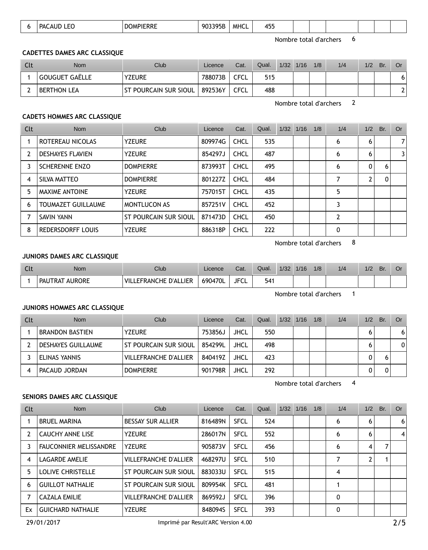|  | --<br>PΔι<br>$\sim$ | ----<br>D)<br>'NNL.<br>the contract of the contract of the contract of the contract of the contract of the contract of the contract of | <b>MHCL</b><br>903395B<br>- - - - - | $\cdot$ – $\cdot$<br>15<br>7JJ |  |  |  |  |  |  |
|--|---------------------|----------------------------------------------------------------------------------------------------------------------------------------|-------------------------------------|--------------------------------|--|--|--|--|--|--|
|--|---------------------|----------------------------------------------------------------------------------------------------------------------------------------|-------------------------------------|--------------------------------|--|--|--|--|--|--|

Nombre total d'archers 6

## **CADETTES DAMES ARC CLASSIQUE**

| Clt | <b>Nom</b>         | Club                         | Licence | Cat.        | Qual. | $1/32$ $1/16$ | 1/8 | 1/4 | 1/2 | Br. | Or |
|-----|--------------------|------------------------------|---------|-------------|-------|---------------|-----|-----|-----|-----|----|
|     | GOUGUET GAËLLE     | <b>YZEURE</b>                | 788073B | CFCL        | 515   |               |     |     |     |     | 6  |
|     | <b>BERTHON LEA</b> | <b>ST POURCAIN SUR SIOUL</b> | 892536Y | <b>CFCL</b> | 488   |               |     |     |     |     |    |

Nombre total d'archers 2

## **CADETS HOMMES ARC CLASSIQUE**

| Clt            | <b>Nom</b>                | Club                  | Licence | Cat.        | Qual. | 1/32 | 1/16 | 1/8 | 1/4 | 1/2 | Br. | Or. |
|----------------|---------------------------|-----------------------|---------|-------------|-------|------|------|-----|-----|-----|-----|-----|
|                | ROTEREAU NICOLAS          | <b>YZEURE</b>         | 809974G | CHCL        | 535   |      |      |     | 6   | 6   |     |     |
| $\overline{2}$ | <b>DESHAYES FLAVIEN</b>   | <b>YZEURE</b>         | 854297J | <b>CHCL</b> | 487   |      |      |     | 6   | 6   |     |     |
| 3              | <b>SCHERENNE ENZO</b>     | <b>DOMPIERRE</b>      | 873993T | <b>CHCL</b> | 495   |      |      |     | 6   | 0   | 6   |     |
| 4              | SILVA MATTEO              | <b>DOMPIERRE</b>      | 801227Z | <b>CHCL</b> | 484   |      |      |     |     | 2   | 0   |     |
| 5              | MAXIME ANTOINE            | <b>YZEURE</b>         | 757015T | <b>CHCL</b> | 435   |      |      |     | 5   |     |     |     |
| 6              | <b>TOUMAZET GUILLAUME</b> | <b>MONTLUCON AS</b>   | 857251V | <b>CHCL</b> | 452   |      |      |     | 3   |     |     |     |
|                | SAVIN YANN                | ST POURCAIN SUR SIOUL | 871473D | CHCL        | 450   |      |      |     | 2   |     |     |     |
| 8              | <b>REDERSDORFF LOUIS</b>  | <b>YZEURE</b>         | 886318P | <b>CHCL</b> | 222   |      |      |     | 0   |     |     |     |

Nombre total d'archers 8

#### **JUNIORS DAMES ARC CLASSIQUE**

| Clt | Nom                      | $C$ lub                    | Licence | Cat.        | Qual. | 1/32 | 1/16 | 1/8 | 1/4 | 1/2 | Br. | U |
|-----|--------------------------|----------------------------|---------|-------------|-------|------|------|-----|-----|-----|-----|---|
|     | <b>AURORE</b><br>PAUTRAT | LEFRANCHE D'ALLIER<br>VILL | 690470L | <b>JFCL</b> | 541   |      |      |     |     |     |     |   |

Nombre total d'archers 1

#### **JUNIORS HOMMES ARC CLASSIQUE**

| Clt | <b>Nom</b>                | Club                         | Licence | Cat.        | Qual. | 1/32 | 1/16 | 1/8 | 1/4 | 1/2 | Br. | Or. |
|-----|---------------------------|------------------------------|---------|-------------|-------|------|------|-----|-----|-----|-----|-----|
|     | <b>BRANDON BASTIEN</b>    | <b>YZEURE</b>                | 753856J | JHCL        | 550   |      |      |     |     |     |     | 6   |
|     | <b>DESHAYES GUILLAUME</b> | <b>ST POURCAIN SUR SIOUL</b> | 854299L | <b>JHCL</b> | 498   |      |      |     |     |     |     | 0   |
|     | ELINAS YANNIS             | <b>VILLEFRANCHE D'ALLIER</b> | 840419Z | JHCL        | 423   |      |      |     |     | O.  |     |     |
|     | PACAUD JORDAN             | <b>DOMPIERRE</b>             | 901798R | JHCL        | 292   |      |      |     |     |     |     |     |

Nombre total d'archers 4

#### **SENIORS DAMES ARC CLASSIQUE**

| Clt | <b>Nom</b>                    | Club                         | Licence | Cat.        | Qual. | $1/32$ $1/16$ | 1/8 | 1/4 | 1/2 | Br. | <b>Or</b> |
|-----|-------------------------------|------------------------------|---------|-------------|-------|---------------|-----|-----|-----|-----|-----------|
|     | <b>BRUEL MARINA</b>           | <b>BESSAY SUR ALLIER</b>     | 816489N | <b>SFCL</b> | 524   |               |     | 6   | 6   |     | 6         |
|     | <b>CAUCHY ANNE LISE</b>       | <b>YZEURE</b>                | 286017N | <b>SFCL</b> | 552   |               |     | 6   | 6   |     | 4         |
|     | <b>FAUCONNIER MELISSANDRE</b> | <b>YZEURE</b>                | 905873V | <b>SFCL</b> | 456   |               |     | 6   | 4   |     |           |
| 4   | LAGARDE AMELIE                | <b>VILLEFRANCHE D'ALLIER</b> | 468297U | <b>SFCL</b> | 510   |               |     |     |     |     |           |
| 5   | <b>LOLIVE CHRISTELLE</b>      | ST POURCAIN SUR SIOUL        | 883033U | <b>SFCL</b> | 515   |               |     | 4   |     |     |           |
| 6   | <b>GUILLOT NATHALIE</b>       | ST POURCAIN SUR SIOUL        | 809954K | <b>SFCL</b> | 481   |               |     |     |     |     |           |
|     | CAZALA EMILIE                 | <b>VILLEFRANCHE D'ALLIER</b> | 869592J | <b>SFCL</b> | 396   |               |     | 0   |     |     |           |
| Ex  | <b>GUICHARD NATHALIE</b>      | <b>YZEURE</b>                | 848094S | <b>SFCL</b> | 393   |               |     | 0   |     |     |           |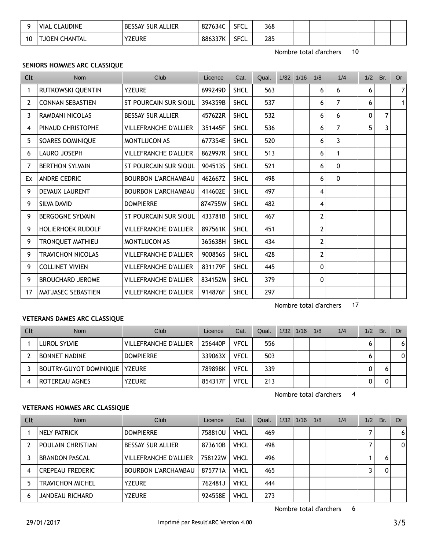|     | LAUDINE<br>VIAL CL            | ' SUR ALLIER<br><b>BESSAY</b> | <b>SECI</b><br>827634C<br>∼ | 368 |  |  |  |
|-----|-------------------------------|-------------------------------|-----------------------------|-----|--|--|--|
| 1 C | <b>CHANTAL</b><br><b>JOEN</b> | <b>YZEURE</b>                 | SECI<br>886337K<br>∼        | 285 |  |  |  |

Nombre total d'archers 10

## **SENIORS HOMMES ARC CLASSIQUE**

| Clt            | <b>Nom</b>               | Club                         | Licence | Cat.        | Qual. | 1/32 1/16 | 1/8            | 1/4          | 1/2          | Br. | <b>Or</b>      |
|----------------|--------------------------|------------------------------|---------|-------------|-------|-----------|----------------|--------------|--------------|-----|----------------|
| 1              | RUTKOWSKI QUENTIN        | <b>YZEURE</b>                | 699249D | <b>SHCL</b> | 563   |           | 6              | 6            | 6            |     | 7              |
| $\overline{2}$ | <b>CONNAN SEBASTIEN</b>  | <b>ST POURCAIN SUR SIOUL</b> | 394359B | <b>SHCL</b> | 537   |           | 6              | 7            | 6            |     | 1 <sup>1</sup> |
| 3              | RAMDANI NICOLAS          | <b>BESSAY SUR ALLIER</b>     | 457622R | <b>SHCL</b> | 532   |           | 6              | 6            | $\mathbf{0}$ | 7   |                |
| 4              | PINAUD CHRISTOPHE        | <b>VILLEFRANCHE D'ALLIER</b> | 351445F | <b>SHCL</b> | 536   |           | 6              | 7            | 5            | 3   |                |
| 5              | SOARES DOMINIQUE         | <b>MONTLUCON AS</b>          | 677354E | <b>SHCL</b> | 520   |           | 6              | 3            |              |     |                |
| 6              | LAURO JOSEPH             | <b>VILLEFRANCHE D'ALLIER</b> | 862997R | <b>SHCL</b> | 513   |           | 6              | 1            |              |     |                |
| 7              | <b>BERTHON SYLVAIN</b>   | ST POURCAIN SUR SIOUL        | 904513S | <b>SHCL</b> | 521   |           | 6              | $\mathbf{0}$ |              |     |                |
| Ex             | <b>ANDRE CEDRIC</b>      | <b>BOURBON L'ARCHAMBAU</b>   | 462667Z | <b>SHCL</b> | 498   |           | 6              | $\mathbf{0}$ |              |     |                |
| 9              | <b>DEVAUX LAURENT</b>    | <b>BOURBON L'ARCHAMBAU</b>   | 414602E | <b>SHCL</b> | 497   |           | 4              |              |              |     |                |
| 9              | SILVA DAVID              | <b>DOMPIERRE</b>             | 874755W | <b>SHCL</b> | 482   |           | $\overline{4}$ |              |              |     |                |
| 9              | <b>BERGOGNE SYLVAIN</b>  | <b>ST POURCAIN SUR SIOUL</b> | 433781B | <b>SHCL</b> | 467   |           | $\overline{2}$ |              |              |     |                |
| 9              | <b>HOLIERHOEK RUDOLF</b> | VILLEFRANCHE D'ALLIER        | 897561K | <b>SHCL</b> | 451   |           | $\overline{2}$ |              |              |     |                |
| 9              | TRONQUET MATHIEU         | <b>MONTLUCON AS</b>          | 365638H | <b>SHCL</b> | 434   |           | $\overline{2}$ |              |              |     |                |
| 9              | <b>TRAVICHON NICOLAS</b> | VILLEFRANCHE D'ALLIER        | 900856S | <b>SHCL</b> | 428   |           | $\overline{2}$ |              |              |     |                |
| 9              | <b>COLLINET VIVIEN</b>   | VILLEFRANCHE D'ALLIER        | 831179F | <b>SHCL</b> | 445   |           | 0              |              |              |     |                |
| 9              | <b>BROUCHARD JEROME</b>  | <b>VILLEFRANCHE D'ALLIER</b> | 834152M | <b>SHCL</b> | 379   |           | 0              |              |              |     |                |
| 17             | MATJASEC SEBASTIEN       | VILLEFRANCHE D'ALLIER        | 914876F | <b>SHCL</b> | 297   |           |                |              |              |     |                |

## **VETERANS DAMES ARC CLASSIQUE**

| Clt | Nom                                    | Club                  | Licence | Cat.        | Qual. | $1/32$ $1/16$ | 1/8 | 1/4 | 1/2          | Br. | Or |
|-----|----------------------------------------|-----------------------|---------|-------------|-------|---------------|-----|-----|--------------|-----|----|
|     | LUROL SYLVIE                           | VILLEFRANCHE D'ALLIER | 256440P | <b>VFCL</b> | 556   |               |     |     | O            |     | 6  |
|     | <b>BONNET NADINE</b>                   | <b>DOMPIERRE</b>      | 339063X | <b>VFCL</b> | 503   |               |     |     | <sub>n</sub> |     | 0  |
|     | <b>BOUTRY-GUYOT DOMINIQUE   YZEURE</b> |                       | 789898K | <b>VFCL</b> | 339   |               |     |     |              |     |    |
|     | ROTEREAU AGNES                         | <b>YZEURE</b>         | 854317F | <b>VFCL</b> | 213   |               |     |     |              |     |    |

Nombre total d'archers 4

Nombre total d'archers 17

## **VETERANS HOMMES ARC CLASSIQUE**

| Clt | <b>Nom</b>              | Club                         | Licence | Cat.        | Qual. | $1/32$ $1/16$ | 1/8 | 1/4 | 1/2 | Br. | Or |
|-----|-------------------------|------------------------------|---------|-------------|-------|---------------|-----|-----|-----|-----|----|
|     | NELY PATRICK            | <b>DOMPIERRE</b>             | 758810U | <b>VHCL</b> | 469   |               |     |     |     |     | 6  |
|     | POULAIN CHRISTIAN       | <b>BESSAY SUR ALLIER</b>     | 873610B | <b>VHCL</b> | 498   |               |     |     |     |     | 0  |
|     | <b>BRANDON PASCAL</b>   | <b>VILLEFRANCHE D'ALLIER</b> | 758122W | <b>VHCL</b> | 496   |               |     |     |     | 6   |    |
|     | <b>CREPEAU FREDERIC</b> | <b>BOURBON L'ARCHAMBAU</b>   | 875771A | <b>VHCL</b> | 465   |               |     |     |     | 0   |    |
|     | <b>TRAVICHON MICHEL</b> | <b>YZEURE</b>                | 762481J | <b>VHCL</b> | 444   |               |     |     |     |     |    |
| h   | JANDEAU RICHARD         | <b>YZEURE</b>                | 924558E | <b>VHCL</b> | 273   |               |     |     |     |     |    |

Nombre total d'archers 6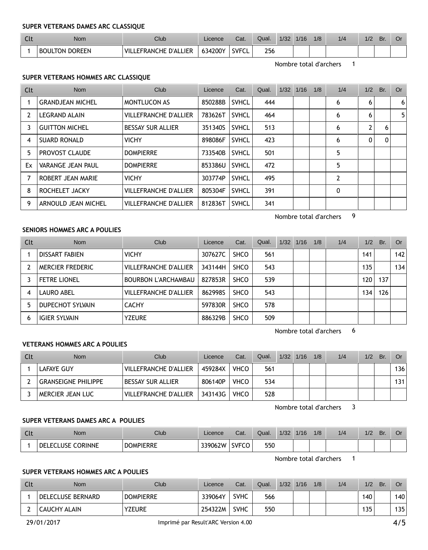#### **SUPER VETERANS DAMES ARC CLASSIQUE**

| $\sim$<br>ີ | Nom            | Club                                   | Licence | Cat.        | Qual. | 1/32 | 1/16 | 1/8 | 1/4 | $\frac{1}{2}$ | Br. |  |
|-------------|----------------|----------------------------------------|---------|-------------|-------|------|------|-----|-----|---------------|-----|--|
|             | BOULTON DOREEN | <b>EFRANCHE D'ALLIER</b><br><b>VIL</b> | 634200Y | <b>SVEC</b> | 256   |      |      |     |     |               |     |  |

Nombre total d'archers 1

## **SUPER VETERANS HOMMES ARC CLASSIQUE**

| Clt            | Nom                      | Club                         | Licence | Cat.         | Qual. | $1/32$ $1/16$ | 1/8 | 1/4            | 1/2 | Br. | Or             |
|----------------|--------------------------|------------------------------|---------|--------------|-------|---------------|-----|----------------|-----|-----|----------------|
|                | <b>GRANDJEAN MICHEL</b>  | <b>MONTLUCON AS</b>          | 850288B | <b>SVHCL</b> | 444   |               |     | 6              | 6   |     | 6              |
| $\overline{2}$ | <b>LEGRAND ALAIN</b>     | <b>VILLEFRANCHE D'ALLIER</b> | 783626T | <b>SVHCL</b> | 464   |               |     | 6              | 6   |     | 5 <sub>1</sub> |
|                | <b>GUITTON MICHEL</b>    | <b>BESSAY SUR ALLIER</b>     | 351340S | SVHCL        | 513   |               |     | 6              | 2   | 6   |                |
| 4              | <b>SUARD RONALD</b>      | <b>VICHY</b>                 | 898086F | <b>SVHCL</b> | 423   |               |     | 6              | 0   | 0   |                |
| 5.             | <b>PROVOST CLAUDE</b>    | <b>DOMPIERRE</b>             | 733540B | <b>SVHCL</b> | 501   |               |     | 5              |     |     |                |
| Ex             | <b>VARANGE JEAN PAUL</b> | <b>DOMPIERRE</b>             | 853386U | SVHCL        | 472   |               |     | 5              |     |     |                |
|                | ROBERT JEAN MARIE        | <b>VICHY</b>                 | 303774P | SVHCL        | 495   |               |     | $\overline{2}$ |     |     |                |
| 8              | ROCHELET JACKY           | <b>VILLEFRANCHE D'ALLIER</b> | 805304F | <b>SVHCL</b> | 391   |               |     | 0              |     |     |                |
| 9              | ARNOULD JEAN MICHEL      | <b>VILLEFRANCHE D'ALLIER</b> | 812836T | <b>SVHCL</b> | 341   |               |     |                |     |     |                |

Nombre total d'archers 9

## **SENIORS HOMMES ARC A POULIES**

| Clt | Nom                  | Club                         | Licence | Cat.        | Qual. | 1/32 | 1/16 | 1/8 | 1/4 | 1/2 | Br. | Or . |
|-----|----------------------|------------------------------|---------|-------------|-------|------|------|-----|-----|-----|-----|------|
|     | DISSART FABIEN       | <b>VICHY</b>                 | 307627C | <b>SHCO</b> | 561   |      |      |     |     | 141 |     | 142  |
|     | MERCIER FREDERIC     | <b>VILLEFRANCHE D'ALLIER</b> | 343144H | <b>SHCO</b> | 543   |      |      |     |     | 135 |     | 134  |
|     | <b>FETRE LIONEL</b>  | BOURBON L'ARCHAMBAU          | 827853R | <b>SHCO</b> | 539   |      |      |     |     | 120 | 137 |      |
| 4   | LAURO ABEL           | <b>VILLEFRANCHE D'ALLIER</b> | 8629985 | <b>SHCO</b> | 543   |      |      |     |     | 134 | 126 |      |
|     | DUPECHOT SYLVAIN     | <b>CACHY</b>                 | 597830R | <b>SHCO</b> | 578   |      |      |     |     |     |     |      |
| 6   | <b>IGIER SYLVAIN</b> | <b>YZEURE</b>                | 886329B | <b>SHCO</b> | 509   |      |      |     |     |     |     |      |

Nombre total d'archers 6

## **VETERANS HOMMES ARC A POULIES**

| Clt | <b>Nom</b>          | Club                  | Licence | Cat.        | Qual. | $1/32$ $1/16$ | 1/8 | 1/4 | 1/2 | Br. | Or  |
|-----|---------------------|-----------------------|---------|-------------|-------|---------------|-----|-----|-----|-----|-----|
|     | LAFAYE GUY          | VILLEFRANCHE D'ALLIER | 459284X | <b>VHCO</b> | 561   |               |     |     |     |     | 136 |
|     | GRANSEIGNE PHILIPPE | I BESSAY SUR ALLIER   | 806140P | <b>VHCO</b> | 534   |               |     |     |     |     | 131 |
|     | MERCIER JEAN LUC    | VILLEFRANCHE D'ALLIER | 343143G | <b>VHCO</b> | 528   |               |     |     |     |     |     |

Nombre total d'archers 3

## **SUPER VETERANS DAMES ARC A POULIES**

| $\sim$<br>uu | <b>Nom</b>                   | Club             | Licence        | Cat.         | Qual. | 1/32 | 1/16 | 1/8 | 1/4 | 1/2 | Br. | Or |
|--------------|------------------------------|------------------|----------------|--------------|-------|------|------|-----|-----|-----|-----|----|
|              | <b>CORINNE</b><br>USE<br>DEI | <b>DOMPIERRE</b> | <u>ን39062W</u> | <b>SVFCO</b> | 550   |      |      |     |     |     |     |    |

Nombre total d'archers 1

## **SUPER VETERANS HOMMES ARC A POULIES**

| Clt | <b>Nom</b>        | <b>Club</b>      | Licence | Cat. | Qual. | 1/32 | 1/16 | 1/8 | 1/4 | 1/2 | Br. | Or  |
|-----|-------------------|------------------|---------|------|-------|------|------|-----|-----|-----|-----|-----|
|     | DELECLUSE BERNARD | <b>DOMPIERRE</b> | 339064Y | SVHC | 566   |      |      |     |     | 140 |     | 140 |
|     | CAUCHY ALAIN      | <b>YZEURE</b>    | 254322M | SVHC | 550   |      |      |     |     | 135 |     | 35  |